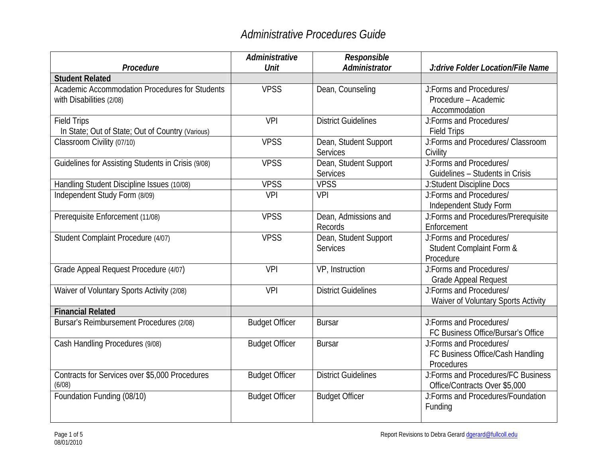|                                                    | Administrative        | Responsible                |                                     |
|----------------------------------------------------|-----------------------|----------------------------|-------------------------------------|
| Procedure                                          | Unit                  | Administrator              | J:drive Folder Location/File Name   |
| <b>Student Related</b>                             |                       |                            |                                     |
| Academic Accommodation Procedures for Students     | <b>VPSS</b>           | Dean, Counseling           | J:Forms and Procedures/             |
| with Disabilities (2/08)                           |                       |                            | Procedure - Academic                |
|                                                    |                       |                            | Accommodation                       |
| <b>Field Trips</b>                                 | <b>VPI</b>            | <b>District Guidelines</b> | J:Forms and Procedures/             |
| In State; Out of State; Out of Country (Various)   |                       |                            | <b>Field Trips</b>                  |
| Classroom Civility (07/10)                         | <b>VPSS</b>           | Dean, Student Support      | J:Forms and Procedures/ Classroom   |
|                                                    |                       | <b>Services</b>            | Civility                            |
| Guidelines for Assisting Students in Crisis (9/08) | <b>VPSS</b>           | Dean, Student Support      | <b>J:Forms and Procedures/</b>      |
|                                                    |                       | Services                   | Guidelines - Students in Crisis     |
| Handling Student Discipline Issues (10/08)         | <b>VPSS</b>           | <b>VPSS</b>                | <b>J:Student Discipline Docs</b>    |
| Independent Study Form (8/09)                      | <b>VPI</b>            | <b>VPI</b>                 | J:Forms and Procedures/             |
|                                                    |                       |                            | Independent Study Form              |
| Prerequisite Enforcement (11/08)                   | <b>VPSS</b>           | Dean, Admissions and       | J:Forms and Procedures/Prerequisite |
|                                                    |                       | <b>Records</b>             | Enforcement                         |
| Student Complaint Procedure (4/07)                 | <b>VPSS</b>           | Dean, Student Support      | J:Forms and Procedures/             |
|                                                    |                       | <b>Services</b>            | Student Complaint Form &            |
|                                                    |                       |                            | Procedure                           |
| Grade Appeal Request Procedure (4/07)              | <b>VPI</b>            | VP, Instruction            | J:Forms and Procedures/             |
|                                                    |                       |                            | <b>Grade Appeal Request</b>         |
| Waiver of Voluntary Sports Activity (2/08)         | <b>VPI</b>            | <b>District Guidelines</b> | J:Forms and Procedures/             |
|                                                    |                       |                            | Waiver of Voluntary Sports Activity |
| <b>Financial Related</b>                           |                       |                            |                                     |
| Bursar's Reimbursement Procedures (2/08)           | <b>Budget Officer</b> | <b>Bursar</b>              | J:Forms and Procedures/             |
|                                                    |                       |                            | FC Business Office/Bursar's Office  |
| Cash Handling Procedures (9/08)                    | <b>Budget Officer</b> | <b>Bursar</b>              | J:Forms and Procedures/             |
|                                                    |                       |                            | FC Business Office/Cash Handling    |
|                                                    |                       |                            | Procedures                          |
| Contracts for Services over \$5,000 Procedures     | <b>Budget Officer</b> | <b>District Guidelines</b> | J:Forms and Procedures/FC Business  |
| (6/08)                                             |                       |                            | Office/Contracts Over \$5,000       |
| Foundation Funding (08/10)                         | <b>Budget Officer</b> | <b>Budget Officer</b>      | J:Forms and Procedures/Foundation   |
|                                                    |                       |                            | Funding                             |
|                                                    |                       |                            |                                     |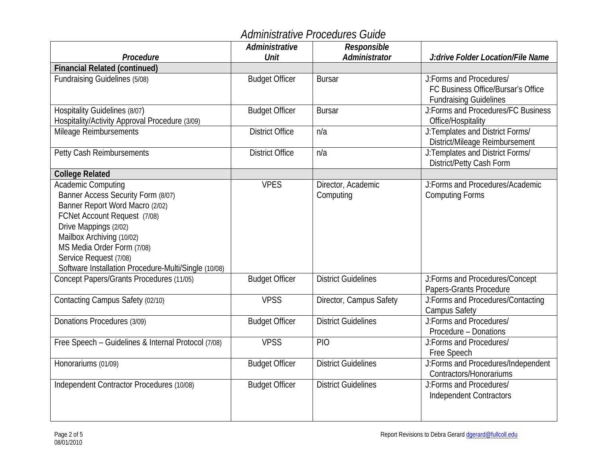|                                                      | Administrative         | Responsible                |                                                                     |
|------------------------------------------------------|------------------------|----------------------------|---------------------------------------------------------------------|
| Procedure                                            | Unit                   | Administrator              | J:drive Folder Location/File Name                                   |
| <b>Financial Related (continued)</b>                 |                        |                            |                                                                     |
| Fundraising Guidelines (5/08)                        | <b>Budget Officer</b>  | <b>Bursar</b>              | J:Forms and Procedures/                                             |
|                                                      |                        |                            | FC Business Office/Bursar's Office                                  |
| Hospitality Guidelines (8/07)                        | <b>Budget Officer</b>  | <b>Bursar</b>              | <b>Fundraising Guidelines</b><br>J:Forms and Procedures/FC Business |
| Hospitality/Activity Approval Procedure (3/09)       |                        |                            | Office/Hospitality                                                  |
| Mileage Reimbursements                               | <b>District Office</b> | n/a                        | J:Templates and District Forms/                                     |
|                                                      |                        |                            | District/Mileage Reimbursement                                      |
| Petty Cash Reimbursements                            | <b>District Office</b> | n/a                        | J:Templates and District Forms/<br>District/Petty Cash Form         |
| <b>College Related</b>                               |                        |                            |                                                                     |
| <b>Academic Computing</b>                            | <b>VPES</b>            | Director, Academic         | J:Forms and Procedures/Academic                                     |
| Banner Access Security Form (8/07)                   |                        | Computing                  | <b>Computing Forms</b>                                              |
| Banner Report Word Macro (2/02)                      |                        |                            |                                                                     |
| FCNet Account Request (7/08)                         |                        |                            |                                                                     |
| Drive Mappings (2/02)                                |                        |                            |                                                                     |
| Mailbox Archiving (10/02)                            |                        |                            |                                                                     |
| MS Media Order Form (7/08)                           |                        |                            |                                                                     |
| Service Request (7/08)                               |                        |                            |                                                                     |
| Software Installation Procedure-Multi/Single (10/08) |                        |                            |                                                                     |
| Concept Papers/Grants Procedures (11/05)             | <b>Budget Officer</b>  | <b>District Guidelines</b> | J:Forms and Procedures/Concept<br>Papers-Grants Procedure           |
| Contacting Campus Safety (02/10)                     | <b>VPSS</b>            | Director, Campus Safety    | J:Forms and Procedures/Contacting                                   |
|                                                      |                        |                            | <b>Campus Safety</b>                                                |
| Donations Procedures (3/09)                          | <b>Budget Officer</b>  | <b>District Guidelines</b> | J:Forms and Procedures/                                             |
|                                                      |                        |                            | Procedure - Donations                                               |
| Free Speech - Guidelines & Internal Protocol (7/08)  | <b>VPSS</b>            | <b>PIO</b>                 | J:Forms and Procedures/                                             |
|                                                      |                        |                            | Free Speech                                                         |
| Honorariums (01/09)                                  | <b>Budget Officer</b>  | <b>District Guidelines</b> | J:Forms and Procedures/Independent                                  |
|                                                      |                        |                            | Contractors/Honorariums                                             |
| Independent Contractor Procedures (10/08)            | <b>Budget Officer</b>  | <b>District Guidelines</b> | J:Forms and Procedures/                                             |
|                                                      |                        |                            | <b>Independent Contractors</b>                                      |
|                                                      |                        |                            |                                                                     |
|                                                      |                        |                            |                                                                     |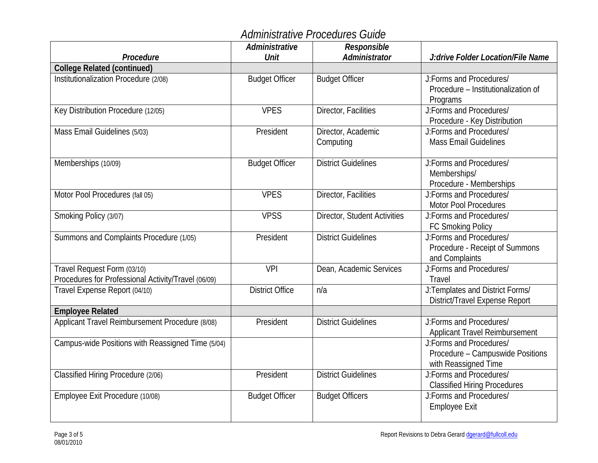|                                                     | Administrative         | Responsible                  |                                     |
|-----------------------------------------------------|------------------------|------------------------------|-------------------------------------|
| Procedure                                           | Unit                   | Administrator                | J:drive Folder Location/File Name   |
| <b>College Related (continued)</b>                  |                        |                              |                                     |
| Institutionalization Procedure (2/08)               | <b>Budget Officer</b>  | <b>Budget Officer</b>        | J:Forms and Procedures/             |
|                                                     |                        |                              | Procedure - Institutionalization of |
|                                                     |                        |                              | Programs                            |
| Key Distribution Procedure (12/05)                  | <b>VPES</b>            | Director, Facilities         | J:Forms and Procedures/             |
|                                                     |                        |                              | Procedure - Key Distribution        |
| Mass Email Guidelines (5/03)                        | President              | Director, Academic           | J:Forms and Procedures/             |
|                                                     |                        | Computing                    | <b>Mass Email Guidelines</b>        |
| Memberships (10/09)                                 | <b>Budget Officer</b>  | <b>District Guidelines</b>   | J:Forms and Procedures/             |
|                                                     |                        |                              | Memberships/                        |
|                                                     |                        |                              | Procedure - Memberships             |
| Motor Pool Procedures (fall 05)                     | <b>VPES</b>            | Director, Facilities         | J:Forms and Procedures/             |
|                                                     |                        |                              | <b>Motor Pool Procedures</b>        |
| Smoking Policy (3/07)                               | <b>VPSS</b>            | Director, Student Activities | J:Forms and Procedures/             |
|                                                     |                        |                              | <b>FC Smoking Policy</b>            |
| Summons and Complaints Procedure (1/05)             | President              | <b>District Guidelines</b>   | J:Forms and Procedures/             |
|                                                     |                        |                              | Procedure - Receipt of Summons      |
|                                                     |                        |                              | and Complaints                      |
| Travel Request Form (03/10)                         | VPI                    | Dean, Academic Services      | J:Forms and Procedures/             |
| Procedures for Professional Activity/Travel (06/09) |                        |                              | Travel                              |
| Travel Expense Report (04/10)                       | <b>District Office</b> | n/a                          | J:Templates and District Forms/     |
|                                                     |                        |                              | District/Travel Expense Report      |
| <b>Employee Related</b>                             |                        |                              |                                     |
| Applicant Travel Reimbursement Procedure (8/08)     | President              | <b>District Guidelines</b>   | J:Forms and Procedures/             |
|                                                     |                        |                              | Applicant Travel Reimbursement      |
| Campus-wide Positions with Reassigned Time (5/04)   |                        |                              | J:Forms and Procedures/             |
|                                                     |                        |                              | Procedure - Campuswide Positions    |
|                                                     |                        |                              | with Reassigned Time                |
| Classified Hiring Procedure (2/06)                  | President              | <b>District Guidelines</b>   | J:Forms and Procedures/             |
|                                                     |                        |                              | <b>Classified Hiring Procedures</b> |
| Employee Exit Procedure (10/08)                     | <b>Budget Officer</b>  | <b>Budget Officers</b>       | J:Forms and Procedures/             |
|                                                     |                        |                              | <b>Employee Exit</b>                |
|                                                     |                        |                              |                                     |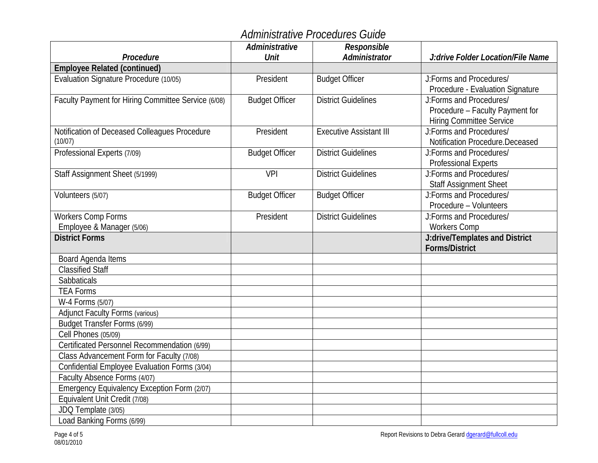|                                                     | Administrative        | Responsible                    |                                   |
|-----------------------------------------------------|-----------------------|--------------------------------|-----------------------------------|
| Procedure                                           | Unit                  | Administrator                  | J:drive Folder Location/File Name |
| <b>Employee Related (continued)</b>                 |                       |                                |                                   |
| Evaluation Signature Procedure (10/05)              | President             | <b>Budget Officer</b>          | J:Forms and Procedures/           |
|                                                     |                       |                                | Procedure - Evaluation Signature  |
| Faculty Payment for Hiring Committee Service (6/08) | <b>Budget Officer</b> | <b>District Guidelines</b>     | J:Forms and Procedures/           |
|                                                     |                       |                                | Procedure - Faculty Payment for   |
|                                                     |                       |                                | <b>Hiring Committee Service</b>   |
| Notification of Deceased Colleagues Procedure       | President             | <b>Executive Assistant III</b> | J:Forms and Procedures/           |
| (10/07)                                             |                       |                                | Notification Procedure.Deceased   |
| Professional Experts (7/09)                         | <b>Budget Officer</b> | <b>District Guidelines</b>     | J:Forms and Procedures/           |
|                                                     |                       |                                | <b>Professional Experts</b>       |
| Staff Assignment Sheet (5/1999)                     | <b>VPI</b>            | <b>District Guidelines</b>     | J:Forms and Procedures/           |
|                                                     |                       |                                | <b>Staff Assignment Sheet</b>     |
| Volunteers (5/07)                                   | <b>Budget Officer</b> | <b>Budget Officer</b>          | J:Forms and Procedures/           |
|                                                     |                       |                                | Procedure - Volunteers            |
| Workers Comp Forms                                  | President             | <b>District Guidelines</b>     | J:Forms and Procedures/           |
| Employee & Manager (5/06)                           |                       |                                | Workers Comp                      |
| <b>District Forms</b>                               |                       |                                | J:drive/Templates and District    |
|                                                     |                       |                                | <b>Forms/District</b>             |
| Board Agenda Items                                  |                       |                                |                                   |
| <b>Classified Staff</b>                             |                       |                                |                                   |
| Sabbaticals                                         |                       |                                |                                   |
| <b>TEA Forms</b>                                    |                       |                                |                                   |
| W-4 Forms (5/07)                                    |                       |                                |                                   |
| <b>Adjunct Faculty Forms (various)</b>              |                       |                                |                                   |
| Budget Transfer Forms (6/99)                        |                       |                                |                                   |
| <b>Cell Phones (05/09)</b>                          |                       |                                |                                   |
| Certificated Personnel Recommendation (6/99)        |                       |                                |                                   |
| Class Advancement Form for Faculty (7/08)           |                       |                                |                                   |
| Confidential Employee Evaluation Forms (3/04)       |                       |                                |                                   |
| Faculty Absence Forms (4/07)                        |                       |                                |                                   |
| Emergency Equivalency Exception Form (2/07)         |                       |                                |                                   |
| Equivalent Unit Credit (7/08)                       |                       |                                |                                   |
| JDQ Template (3/05)                                 |                       |                                |                                   |
| Load Banking Forms (6/99)                           |                       |                                |                                   |